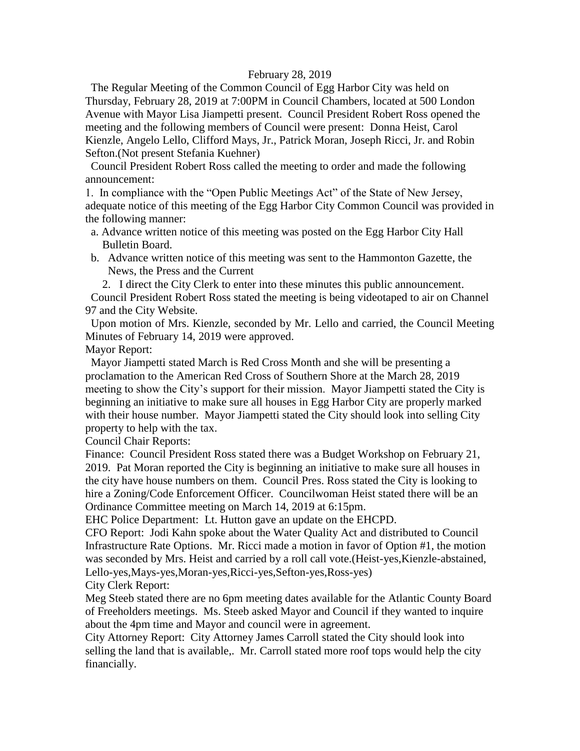#### February 28, 2019

 The Regular Meeting of the Common Council of Egg Harbor City was held on Thursday, February 28, 2019 at 7:00PM in Council Chambers, located at 500 London Avenue with Mayor Lisa Jiampetti present. Council President Robert Ross opened the meeting and the following members of Council were present: Donna Heist, Carol Kienzle, Angelo Lello, Clifford Mays, Jr., Patrick Moran, Joseph Ricci, Jr. and Robin Sefton.(Not present Stefania Kuehner)

 Council President Robert Ross called the meeting to order and made the following announcement:

1. In compliance with the "Open Public Meetings Act" of the State of New Jersey, adequate notice of this meeting of the Egg Harbor City Common Council was provided in the following manner:

- a. Advance written notice of this meeting was posted on the Egg Harbor City Hall Bulletin Board.
- b. Advance written notice of this meeting was sent to the Hammonton Gazette, the News, the Press and the Current

2. I direct the City Clerk to enter into these minutes this public announcement. Council President Robert Ross stated the meeting is being videotaped to air on Channel 97 and the City Website.

 Upon motion of Mrs. Kienzle, seconded by Mr. Lello and carried, the Council Meeting Minutes of February 14, 2019 were approved.

Mayor Report:

 Mayor Jiampetti stated March is Red Cross Month and she will be presenting a proclamation to the American Red Cross of Southern Shore at the March 28, 2019 meeting to show the City's support for their mission. Mayor Jiampetti stated the City is beginning an initiative to make sure all houses in Egg Harbor City are properly marked with their house number. Mayor Jiampetti stated the City should look into selling City property to help with the tax.

Council Chair Reports:

Finance: Council President Ross stated there was a Budget Workshop on February 21, 2019. Pat Moran reported the City is beginning an initiative to make sure all houses in the city have house numbers on them. Council Pres. Ross stated the City is looking to hire a Zoning/Code Enforcement Officer. Councilwoman Heist stated there will be an Ordinance Committee meeting on March 14, 2019 at 6:15pm.

EHC Police Department: Lt. Hutton gave an update on the EHCPD.

CFO Report: Jodi Kahn spoke about the Water Quality Act and distributed to Council Infrastructure Rate Options. Mr. Ricci made a motion in favor of Option #1, the motion was seconded by Mrs. Heist and carried by a roll call vote.(Heist-yes,Kienzle-abstained, Lello-yes,Mays-yes,Moran-yes,Ricci-yes,Sefton-yes,Ross-yes)

City Clerk Report:

Meg Steeb stated there are no 6pm meeting dates available for the Atlantic County Board of Freeholders meetings. Ms. Steeb asked Mayor and Council if they wanted to inquire about the 4pm time and Mayor and council were in agreement.

City Attorney Report: City Attorney James Carroll stated the City should look into selling the land that is available,. Mr. Carroll stated more roof tops would help the city financially.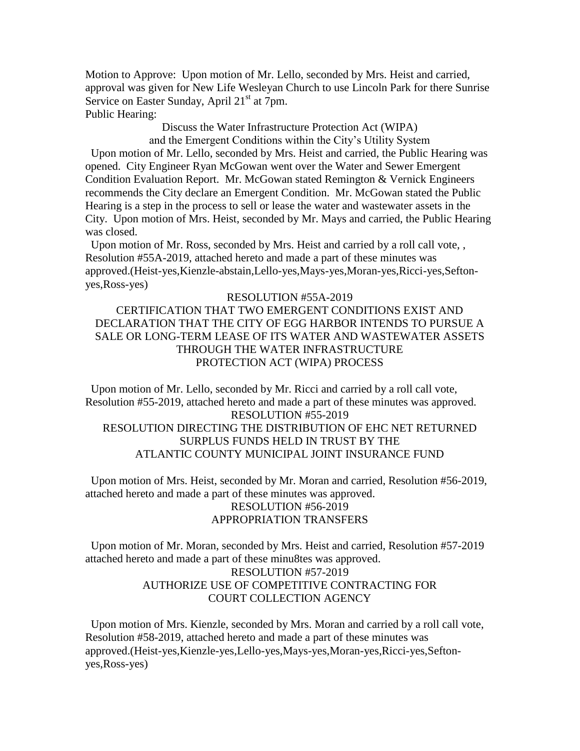Motion to Approve: Upon motion of Mr. Lello, seconded by Mrs. Heist and carried, approval was given for New Life Wesleyan Church to use Lincoln Park for there Sunrise Service on Easter Sunday, April 21<sup>st</sup> at 7pm. Public Hearing:

Discuss the Water Infrastructure Protection Act (WIPA)

and the Emergent Conditions within the City's Utility System Upon motion of Mr. Lello, seconded by Mrs. Heist and carried, the Public Hearing was opened. City Engineer Ryan McGowan went over the Water and Sewer Emergent Condition Evaluation Report. Mr. McGowan stated Remington & Vernick Engineers recommends the City declare an Emergent Condition. Mr. McGowan stated the Public Hearing is a step in the process to sell or lease the water and wastewater assets in the City. Upon motion of Mrs. Heist, seconded by Mr. Mays and carried, the Public Hearing was closed.

 Upon motion of Mr. Ross, seconded by Mrs. Heist and carried by a roll call vote, , Resolution #55A-2019, attached hereto and made a part of these minutes was approved.(Heist-yes,Kienzle-abstain,Lello-yes,Mays-yes,Moran-yes,Ricci-yes,Seftonyes,Ross-yes)

#### RESOLUTION #55A-2019

### CERTIFICATION THAT TWO EMERGENT CONDITIONS EXIST AND DECLARATION THAT THE CITY OF EGG HARBOR INTENDS TO PURSUE A SALE OR LONG-TERM LEASE OF ITS WATER AND WASTEWATER ASSETS THROUGH THE WATER INFRASTRUCTURE PROTECTION ACT (WIPA) PROCESS

 Upon motion of Mr. Lello, seconded by Mr. Ricci and carried by a roll call vote, Resolution #55-2019, attached hereto and made a part of these minutes was approved. RESOLUTION #55-2019 RESOLUTION DIRECTING THE DISTRIBUTION OF EHC NET RETURNED SURPLUS FUNDS HELD IN TRUST BY THE ATLANTIC COUNTY MUNICIPAL JOINT INSURANCE FUND

 Upon motion of Mrs. Heist, seconded by Mr. Moran and carried, Resolution #56-2019, attached hereto and made a part of these minutes was approved. RESOLUTION #56-2019

# APPROPRIATION TRANSFERS

 Upon motion of Mr. Moran, seconded by Mrs. Heist and carried, Resolution #57-2019 attached hereto and made a part of these minu8tes was approved.

### RESOLUTION #57-2019 AUTHORIZE USE OF COMPETITIVE CONTRACTING FOR COURT COLLECTION AGENCY

 Upon motion of Mrs. Kienzle, seconded by Mrs. Moran and carried by a roll call vote, Resolution #58-2019, attached hereto and made a part of these minutes was approved.(Heist-yes,Kienzle-yes,Lello-yes,Mays-yes,Moran-yes,Ricci-yes,Seftonyes,Ross-yes)